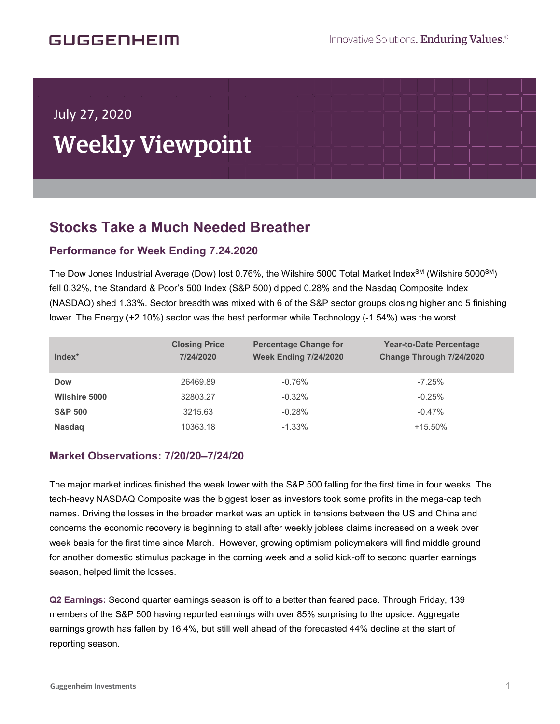## GUGGENHEIM

í

# July 27, 2020 Weekly Viewpoint

# **Stocks Take a Much Needed Breather**

## **Performance for Week Ending 7.24.2020**

The Dow Jones Industrial Average (Dow) lost 0.76%, the Wilshire 5000 Total Market Index<sup>SM</sup> (Wilshire 5000<sup>SM</sup>) fell 0.32%, the Standard & Poor's 500 Index (S&P 500) dipped 0.28% and the Nasdaq Composite Index (NASDAQ) shed 1.33%. Sector breadth was mixed with 6 of the S&P sector groups closing higher and 5 finishing lower. The Energy (+2.10%) sector was the best performer while Technology (-1.54%) was the worst.

| Index*               | <b>Closing Price</b><br>7/24/2020 | <b>Percentage Change for</b><br><b>Week Ending 7/24/2020</b> | <b>Year-to-Date Percentage</b><br>Change Through 7/24/2020 |
|----------------------|-----------------------------------|--------------------------------------------------------------|------------------------------------------------------------|
| <b>Dow</b>           | 26469.89                          | $-0.76%$                                                     | $-7.25%$                                                   |
| <b>Wilshire 5000</b> | 32803.27                          | $-0.32%$                                                     | $-0.25%$                                                   |
| <b>S&amp;P 500</b>   | 3215.63                           | $-0.28%$                                                     | $-0.47%$                                                   |
| <b>Nasdag</b>        | 10363.18                          | $-1.33\%$                                                    | $+15.50\%$                                                 |

#### **Market Observations: 7/20/20–7/24/20**

The major market indices finished the week lower with the S&P 500 falling for the first time in four weeks. The tech-heavy NASDAQ Composite was the biggest loser as investors took some profits in the mega-cap tech names. Driving the losses in the broader market was an uptick in tensions between the US and China and concerns the economic recovery is beginning to stall after weekly jobless claims increased on a week over week basis for the first time since March. However, growing optimism policymakers will find middle ground for another domestic stimulus package in the coming week and a solid kick-off to second quarter earnings season, helped limit the losses.

**Q2 Earnings:** Second quarter earnings season is off to a better than feared pace. Through Friday, 139 members of the S&P 500 having reported earnings with over 85% surprising to the upside. Aggregate earnings growth has fallen by 16.4%, but still well ahead of the forecasted 44% decline at the start of reporting season.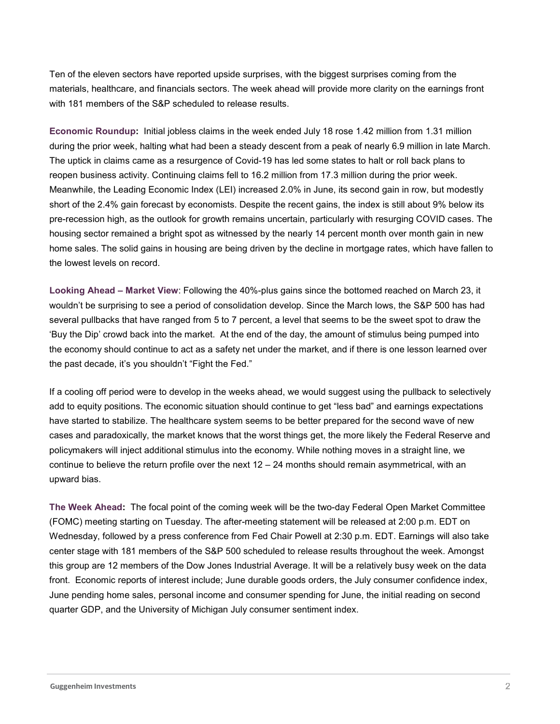Ten of the eleven sectors have reported upside surprises, with the biggest surprises coming from the materials, healthcare, and financials sectors. The week ahead will provide more clarity on the earnings front with 181 members of the S&P scheduled to release results.

**Economic Roundup:** Initial jobless claims in the week ended July 18 rose 1.42 million from 1.31 million during the prior week, halting what had been a steady descent from a peak of nearly 6.9 million in late March. The uptick in claims came as a resurgence of Covid-19 has led some states to halt or roll back plans to reopen business activity. Continuing claims fell to 16.2 million from 17.3 million during the prior week. Meanwhile, the Leading Economic Index (LEI) increased 2.0% in June, its second gain in row, but modestly short of the 2.4% gain forecast by economists. Despite the recent gains, the index is still about 9% below its pre-recession high, as the outlook for growth remains uncertain, particularly with resurging COVID cases. The housing sector remained a bright spot as witnessed by the nearly 14 percent month over month gain in new home sales. The solid gains in housing are being driven by the decline in mortgage rates, which have fallen to the lowest levels on record.

**Looking Ahead – Market View**: Following the 40%-plus gains since the bottomed reached on March 23, it wouldn't be surprising to see a period of consolidation develop. Since the March lows, the S&P 500 has had several pullbacks that have ranged from 5 to 7 percent, a level that seems to be the sweet spot to draw the 'Buy the Dip' crowd back into the market. At the end of the day, the amount of stimulus being pumped into the economy should continue to act as a safety net under the market, and if there is one lesson learned over the past decade, it's you shouldn't "Fight the Fed."

If a cooling off period were to develop in the weeks ahead, we would suggest using the pullback to selectively add to equity positions. The economic situation should continue to get "less bad" and earnings expectations have started to stabilize. The healthcare system seems to be better prepared for the second wave of new cases and paradoxically, the market knows that the worst things get, the more likely the Federal Reserve and policymakers will inject additional stimulus into the economy. While nothing moves in a straight line, we continue to believe the return profile over the next 12 – 24 months should remain asymmetrical, with an upward bias.

**The Week Ahead:** The focal point of the coming week will be the two-day Federal Open Market Committee (FOMC) meeting starting on Tuesday. The after-meeting statement will be released at 2:00 p.m. EDT on Wednesday, followed by a press conference from Fed Chair Powell at 2:30 p.m. EDT. Earnings will also take center stage with 181 members of the S&P 500 scheduled to release results throughout the week. Amongst this group are 12 members of the Dow Jones Industrial Average. It will be a relatively busy week on the data front. Economic reports of interest include; June durable goods orders, the July consumer confidence index, June pending home sales, personal income and consumer spending for June, the initial reading on second quarter GDP, and the University of Michigan July consumer sentiment index.